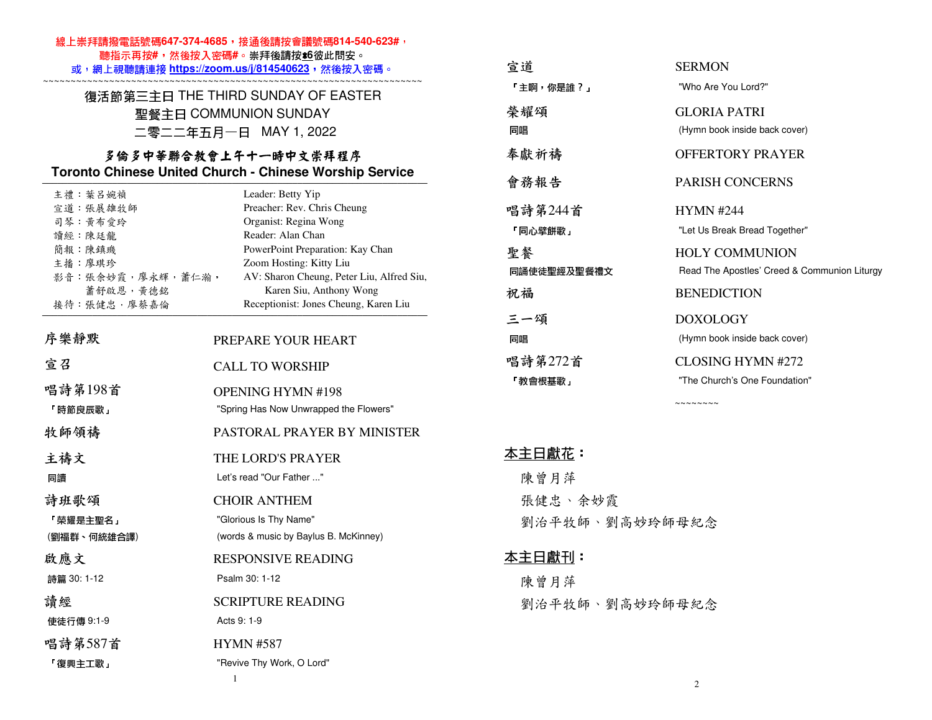### 線上崇拜請撥電話號碼647-374-4685,接通後請按會議號碼814-540-623#, 聽指示再按**#**,然後按入密碼**#**。崇拜後請按\***6**彼此問安。

 或,網上視聽請連接 **https://zoom.us/j/814540623**,然後按入密碼。 ~~~~~~~~~~~~~~~~~~~~~~~~~~~~~~~~~~~~~~~~~~~~~~~~~~~~~~~~~~~~~~~~~~~~~

### 復活節第三主日 THE THIRD SUNDAY OF EASTER 聖餐主日 COMMUNION SUNDAY 二零二二年五月一日 MAY 1, 2022

### 多倫多中華聯合教會上午十一時中文崇拜程序 **Toronto Chinese United Church - Chinese Worship Service**

| 主禮: 葉呂婉禎            | Leader: Betty Yip                         |
|---------------------|-------------------------------------------|
| 宣道:張展雄牧師            | Preacher: Rev. Chris Cheung               |
| 司琴 黄布爱玲             | Organist: Regina Wong                     |
| 讀經:陳廷龍              | Reader: Alan Chan                         |
| 簡報 陳鎮璣              | PowerPoint Preparation: Kay Chan          |
| 主播 廖琪珍              | Zoom Hosting: Kitty Liu                   |
| 影音: 張余妙霞, 廖永輝, 蕭仁瀚, | AV: Sharon Cheung, Peter Liu, Alfred Siu, |
| 蕭舒啟恩,黃德銘            | Karen Siu, Anthony Wong                   |
| 接待:張健忠,廖蔡嘉倫         | Receptionist: Jones Cheung, Karen Liu     |
|                     |                                           |
| 序樂靜默                | PREPARE YOUR HEART                        |
| 宣召                  | <b>CALL TO WORSHIP</b>                    |
| 唱詩第198首             | <b>OPENING HYMN #198</b>                  |
| 「時節良辰歌」             | "Spring Has Now Unwrapped the Flowers"    |
| 牧師領禱                | PASTORAL PRAYER BY MINISTER               |
| 主禱文                 | THE LORD'S PRAYER                         |
| 同讀                  | Let's read "Our Father "                  |
| 詩班歌頌                | <b>CHOIR ANTHEM</b>                       |
| 「榮耀是主聖名」            | "Glorious Is Thy Name"                    |
| (劉福群、何統雄合譯)         | (words & music by Baylus B. McKinney)     |
| 啟應文                 | <b>RESPONSIVE READING</b>                 |
| 詩篇 30:1-12          | Psalm 30: 1-12                            |
| 讀經                  | <b>SCRIPTURE READING</b>                  |
| 使徒行傳 9:1-9          | Acts 9: 1-9                               |
| 唱詩第587首             | <b>HYMN #587</b>                          |
| 「復興主工歌」             | "Revive Thy Work, O Lord"                 |

| 宣道          | <b>SERMON</b>                                |
|-------------|----------------------------------------------|
| 「主啊,你是誰?」   | "Who Are You Lord?"                          |
| 榮耀頌         | <b>GLORIA PATRI</b>                          |
| 同唱          | (Hymn book inside back cover)                |
| 奉獻祈禱        | OFFERTORY PRAYER                             |
| 會務報告        | <b>PARISH CONCERNS</b>                       |
| 唱詩第244首     | <b>HYMN #244</b>                             |
| 「同心壁餅歌」     | "Let Us Break Bread Together"                |
| 聖餐          | <b>HOLY COMMUNION</b>                        |
| 同誦使徒聖經及聖餐禮文 | Read The Apostles' Creed & Communion Liturgy |
| 祝福          | <b>BENEDICTION</b>                           |
| 三一頌         | <b>DOXOLOGY</b>                              |
| 同唱          | (Hymn book inside back cover)                |
| 唱詩第272首     | CLOSING HYMN #272                            |
| 「教會根基歌」     | "The Church's One Foundation"                |
|             |                                              |

 $\sim$  ~~~~~~~

### 本主日獻花:

 陳曾月萍 張健忠、余妙霞劉治平牧師、劉高妙玲師母紀念

### 本主日獻刊:

 陳曾月萍劉治平牧師、劉高妙玲師母紀念

1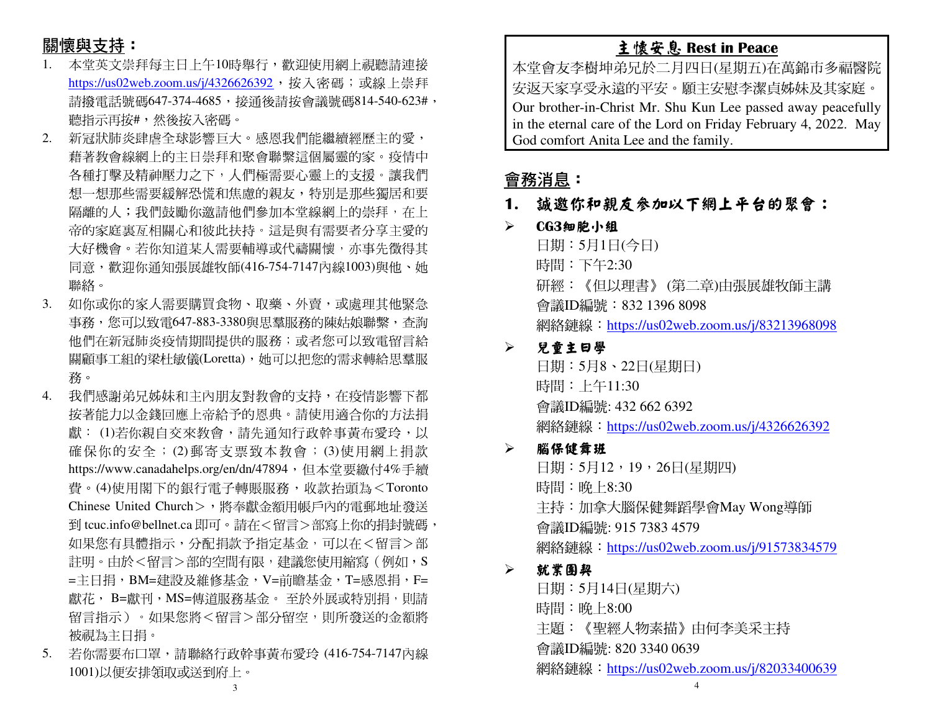# 關懷與支持:

- 本堂英文崇拜每主日上午10時舉行,歡迎使用網上視聽請連接1.<u>https://us02web.zoom.us/j/4326626392</u>,按入密碼;或線上崇拜 請撥電話號碼647-374-4685,接通後請按會議號碼814-540-623#, 聽指示再按#,然後按入密碼。
- 2. 新冠狀肺炎肆虐全球影響巨大。感恩我們能繼續經歷主的愛, 藉著教會線網上的主日崇拜和聚會聯繫這個屬靈的家。疫情中 各種打擊及精神壓力之下,人們極需要心靈上的支援。讓我們想一想那些需要緩解恐慌和焦慮的親友,特別是那些獨居和要 隔離的人;我們鼓勵你邀請他們參加本堂線網上的崇拜,在上 帝的家庭裏亙相關心和彼此扶持。這是與有需要者分享主愛的大好機會。若你知道某人需要輔導或代禱關懷,亦事先徵得其 同意,歡迎你通知張展雄牧師(416-754-7147內線1003)與他、她 聯絡。
- 3. 如你或你的家人需要購買食物、取藥、外賣,或處理其他緊急 事務,您可以致電647-883-3380與思羣服務的陳姑娘聯繫,查詢 他們在新冠肺炎疫情期間提供的服務;或者您可以致電留言給 關顧事工組的梁杜敏儀(Loretta),她可以把您的需求轉給思羣服 務。
- 4. 我們感謝弟兄姊妹和主內朋友對教會的支持,在疫情影響下都 按著能力以金錢回應上帝給予的恩典。請使用適合你的方法捐獻: (1)若你親自交來教會,請先通知行政幹事黃布愛玲,以 確保你的安全; (2)郵寄支票致本教會; (3)使用網上捐款<br>https://www.conodabalae.com/ar/dz/47904,但大学要缴什4%丢绩 https://www.canadahelps.org/en/dn/47894,但本堂要繳付4%手續 費。(4)使用閣下的銀行電子轉賬服務,收款抬頭為<Toronto Chinese United Church>,將奉獻金額用帳戶內的電郵地址發送 到 tcuc.info@bellnet.ca 即可。請在<留言>部寫上你的捐封號碼, 如果您有具體指示,分配捐款予指定基金,可以在<留言>部註明。由於<留言>部的空間有限,建議您使用縮寫(例如,S =主日捐,BM=建設及維修基金,V=前瞻基金,T=感恩捐,F= 獻花, B=獻刊,MS=傳道服務基金。 至於外展或特別捐,則請<br>留言也示、 「想思你咚 <留言 > 双公留空。則千登送免へ經路 留言指示)。如果您將<留言>部分留空,則所發送的金額將 被視為主日捐。
- 5. 若你需要布口罩,請聯絡行政幹事黃布愛玲 (416-754-7147內線1001)以便安排領取或送到府上。

# 主懷安息 **Rest in Peace**

本堂會友李樹坤弟兄於二月四日(星期五)在萬錦市多福醫院 安返天家享受永遠的平安。願主安慰李潔貞姊妹及其家庭。 Our brother-in-Christ Mr. Shu Kun Lee passed away peacefully in the eternal care of the Lord on Friday February 4, 2022. May God comfort Anita Lee and the family.

# 會務消息:

**1.** 誠邀你和親友參加以下網上平台的聚會:

#### $\blacktriangleright$ **CG3**細胞小組

 日期:5月1日(今日) 時間:下午2:30 研經:《但以理書》 (第二章)由張展雄牧師主講會議ID編號:832 1396 8098 網絡鏈線:https://us02web.zoom.us/j/83213968098

#### ➤ 兒童主日學

日期:5月8、22日(星期日) 時間:上午11:30 會議ID編號: 432 662 6392 網絡鏈線: https://us02web.zoom.us/j/4326626392

#### $\blacktriangleright$ 腦保健舞班

日期:5月12,19,26日(星期四) 時間:晚上8:30 主持:加拿大腦保健舞蹈學會May Wong導師會議ID編號: 915 7383 4579 網絡鏈線:https://us02web.zoom.us/j/91573834579

#### ➤ 就業團契

日期:5月14日(星期六) 時間:晚上8:00 主題:《聖經人物素描》由何李美采主持會議ID編號: 820 3340 0639 網絡鏈線: https://us02web.zoom.us/j/82033400639

3